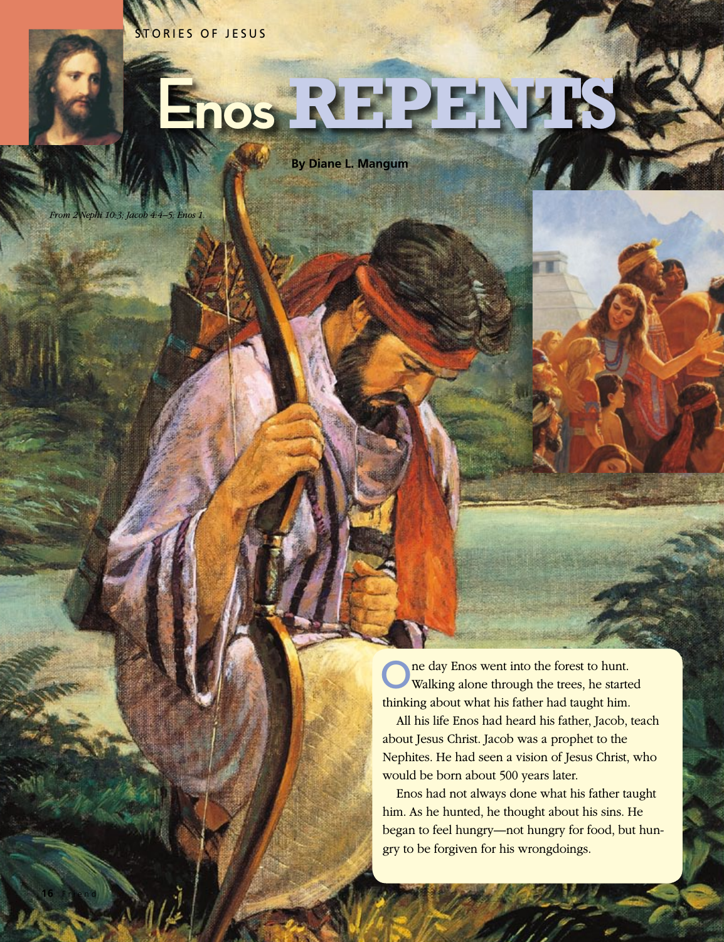STORIES OF JESUS

## **Enos REPENTS**

**By Diane L. Mangum**

*From 2 Nephi 10:3; Jacob 4:4–5; Enos 1.*

**16** Friend

ne day Enos went into the forest to hunt. Walking alone through the trees, he started thinking about what his father had taught him.

All his life Enos had heard his father, Jacob, teach about Jesus Christ. Jacob was a prophet to the Nephites. He had seen a vision of Jesus Christ, who would be born about 500 years later.

Enos had not always done what his father taught him. As he hunted, he thought about his sins. He began to feel hungry—not hungry for food, but hungry to be forgiven for his wrongdoings.